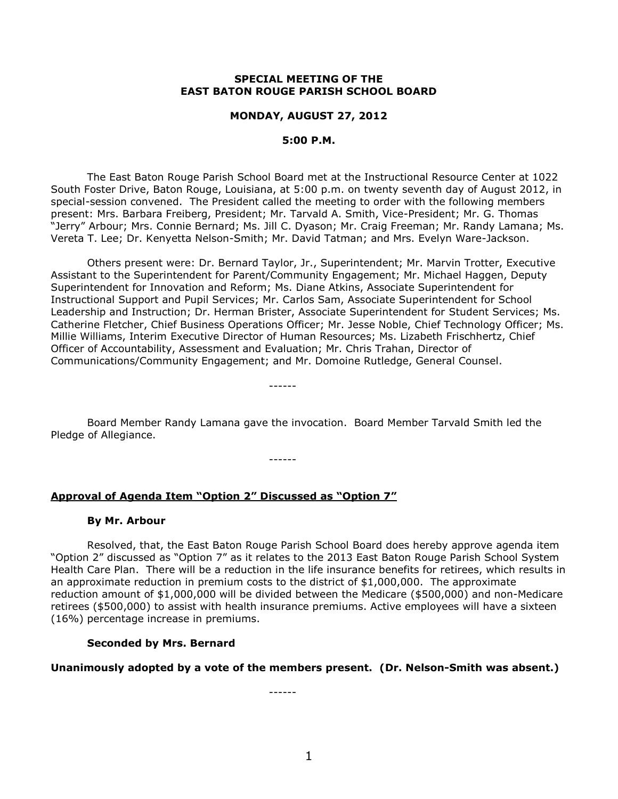## **SPECIAL MEETING OF THE EAST BATON ROUGE PARISH SCHOOL BOARD**

### **MONDAY, AUGUST 27, 2012**

### **5:00 P.M.**

The East Baton Rouge Parish School Board met at the Instructional Resource Center at 1022 South Foster Drive, Baton Rouge, Louisiana, at 5:00 p.m. on twenty seventh day of August 2012, in special-session convened. The President called the meeting to order with the following members present: Mrs. Barbara Freiberg, President; Mr. Tarvald A. Smith, Vice-President; Mr. G. Thomas "Jerry" Arbour; Mrs. Connie Bernard; Ms. Jill C. Dyason; Mr. Craig Freeman; Mr. Randy Lamana; Ms. Vereta T. Lee; Dr. Kenyetta Nelson-Smith; Mr. David Tatman; and Mrs. Evelyn Ware-Jackson.

Others present were: Dr. Bernard Taylor, Jr., Superintendent; Mr. Marvin Trotter, Executive Assistant to the Superintendent for Parent/Community Engagement; Mr. Michael Haggen, Deputy Superintendent for Innovation and Reform; Ms. Diane Atkins, Associate Superintendent for Instructional Support and Pupil Services; Mr. Carlos Sam, Associate Superintendent for School Leadership and Instruction; Dr. Herman Brister, Associate Superintendent for Student Services; Ms. Catherine Fletcher, Chief Business Operations Officer; Mr. Jesse Noble, Chief Technology Officer; Ms. Millie Williams, Interim Executive Director of Human Resources; Ms. Lizabeth Frischhertz, Chief Officer of Accountability, Assessment and Evaluation; Mr. Chris Trahan, Director of Communications/Community Engagement; and Mr. Domoine Rutledge, General Counsel.

Board Member Randy Lamana gave the invocation. Board Member Tarvald Smith led the Pledge of Allegiance.

------

------

# **Approval of Agenda Item "Option 2" Discussed as "Option 7"**

### **By Mr. Arbour**

Resolved, that, the East Baton Rouge Parish School Board does hereby approve agenda item "Option 2" discussed as "Option 7" as it relates to the 2013 East Baton Rouge Parish School System Health Care Plan. There will be a reduction in the life insurance benefits for retirees, which results in an approximate reduction in premium costs to the district of \$1,000,000. The approximate reduction amount of \$1,000,000 will be divided between the Medicare (\$500,000) and non-Medicare retirees (\$500,000) to assist with health insurance premiums. Active employees will have a sixteen (16%) percentage increase in premiums.

## **Seconded by Mrs. Bernard**

**Unanimously adopted by a vote of the members present. (Dr. Nelson-Smith was absent.)**

------